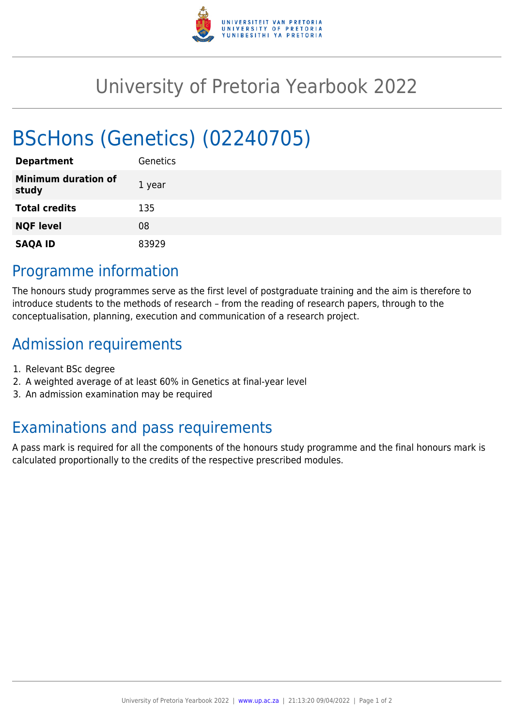

## University of Pretoria Yearbook 2022

# BScHons (Genetics) (02240705)

| <b>Department</b>                   | <b>Genetics</b> |
|-------------------------------------|-----------------|
| <b>Minimum duration of</b><br>study | 1 year          |
| <b>Total credits</b>                | 135             |
| <b>NQF level</b>                    | 08              |
| <b>SAQA ID</b>                      | 83929           |

#### Programme information

The honours study programmes serve as the first level of postgraduate training and the aim is therefore to introduce students to the methods of research – from the reading of research papers, through to the conceptualisation, planning, execution and communication of a research project.

### Admission requirements

- 1. Relevant BSc degree
- 2. A weighted average of at least 60% in Genetics at final-year level
- 3. An admission examination may be required

### Examinations and pass requirements

A pass mark is required for all the components of the honours study programme and the final honours mark is calculated proportionally to the credits of the respective prescribed modules.